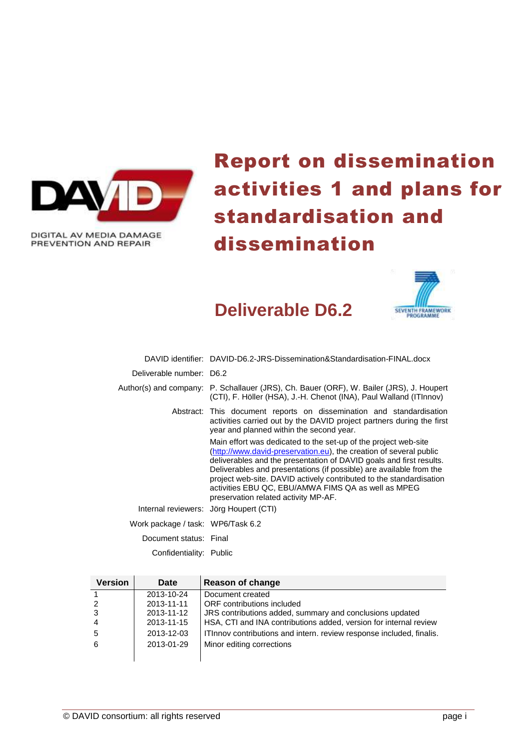

DIGITAL AV MEDIA DAMAGE PREVENTION AND REPAIR

# Report on dissemination activities 1 and plans for standardisation and dissemination



# **Deliverable D6.2**

|                                   | DAVID identifier: DAVID-D6.2-JRS-Dissemination&Standardisation-FINAL.docx                                                                                                                                                                                                                                                                                                                                                                                 |
|-----------------------------------|-----------------------------------------------------------------------------------------------------------------------------------------------------------------------------------------------------------------------------------------------------------------------------------------------------------------------------------------------------------------------------------------------------------------------------------------------------------|
| Deliverable number: D6.2          |                                                                                                                                                                                                                                                                                                                                                                                                                                                           |
|                                   | Author(s) and company: P. Schallauer (JRS), Ch. Bauer (ORF), W. Bailer (JRS), J. Houpert<br>(CTI), F. Höller (HSA), J.-H. Chenot (INA), Paul Walland (ITInnov)                                                                                                                                                                                                                                                                                            |
|                                   | Abstract: This document reports on dissemination and standardisation<br>activities carried out by the DAVID project partners during the first<br>year and planned within the second year.                                                                                                                                                                                                                                                                 |
|                                   | Main effort was dedicated to the set-up of the project web-site<br>(http://www.david-preservation.eu), the creation of several public<br>deliverables and the presentation of DAVID goals and first results.<br>Deliverables and presentations (if possible) are available from the<br>project web-site. DAVID actively contributed to the standardisation<br>activities EBU QC, EBU/AMWA FIMS QA as well as MPEG<br>preservation related activity MP-AF. |
|                                   | Internal reviewers: Jörg Houpert (CTI)                                                                                                                                                                                                                                                                                                                                                                                                                    |
| Work package / task: WP6/Task 6.2 |                                                                                                                                                                                                                                                                                                                                                                                                                                                           |
| Document status: Final            |                                                                                                                                                                                                                                                                                                                                                                                                                                                           |
| Confidentiality: Public           |                                                                                                                                                                                                                                                                                                                                                                                                                                                           |

| <b>Version</b> | Date       | Reason of change                                                     |
|----------------|------------|----------------------------------------------------------------------|
|                | 2013-10-24 | Document created                                                     |
|                | 2013-11-11 | ORF contributions included                                           |
|                | 2013-11-12 | JRS contributions added, summary and conclusions updated             |
| 4              | 2013-11-15 | HSA, CTI and INA contributions added, version for internal review    |
| 5              | 2013-12-03 | ITInnov contributions and intern. review response included, finalis. |
| 6              | 2013-01-29 | Minor editing corrections                                            |
|                |            |                                                                      |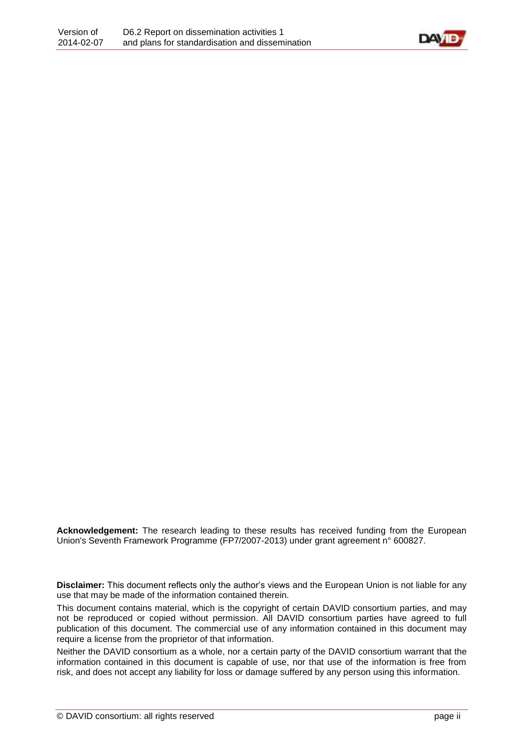

**Acknowledgement:** The research leading to these results has received funding from the European Union's Seventh Framework Programme (FP7/2007-2013) under grant agreement n° 600827.

**Disclaimer:** This document reflects only the author's views and the European Union is not liable for any use that may be made of the information contained therein.

This document contains material, which is the copyright of certain DAVID consortium parties, and may not be reproduced or copied without permission. All DAVID consortium parties have agreed to full publication of this document. The commercial use of any information contained in this document may require a license from the proprietor of that information.

Neither the DAVID consortium as a whole, nor a certain party of the DAVID consortium warrant that the information contained in this document is capable of use, nor that use of the information is free from risk, and does not accept any liability for loss or damage suffered by any person using this information.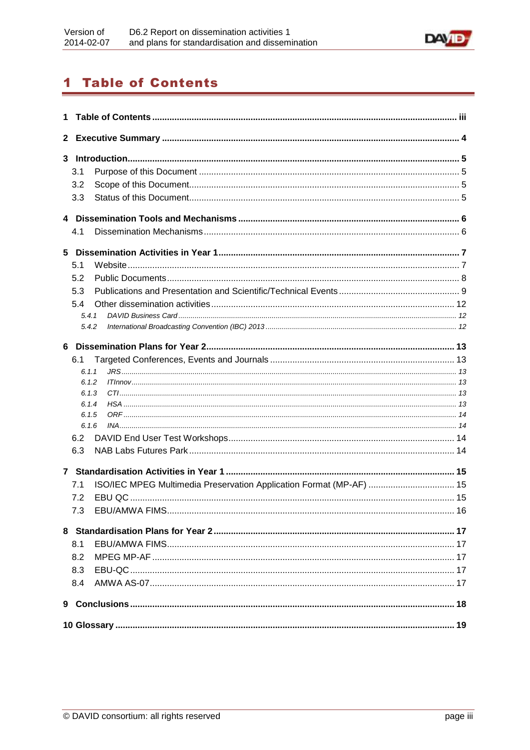

# <span id="page-2-0"></span>**1 Table of Contents**

| 1            |                |                                                                     |  |  |  |  |  |
|--------------|----------------|---------------------------------------------------------------------|--|--|--|--|--|
| $\mathbf{2}$ |                |                                                                     |  |  |  |  |  |
| 3            |                |                                                                     |  |  |  |  |  |
|              | 3.1            |                                                                     |  |  |  |  |  |
|              | 3.2            |                                                                     |  |  |  |  |  |
|              | 3.3            |                                                                     |  |  |  |  |  |
|              |                |                                                                     |  |  |  |  |  |
|              | 4.1            |                                                                     |  |  |  |  |  |
|              |                |                                                                     |  |  |  |  |  |
|              | 5.1            |                                                                     |  |  |  |  |  |
|              | 5.2            |                                                                     |  |  |  |  |  |
|              | 5.3            |                                                                     |  |  |  |  |  |
|              | 5.4            |                                                                     |  |  |  |  |  |
|              | 5.4.1          |                                                                     |  |  |  |  |  |
|              | 5.4.2          |                                                                     |  |  |  |  |  |
| 6.           |                |                                                                     |  |  |  |  |  |
|              | 6.1            |                                                                     |  |  |  |  |  |
|              | 6.1.1          |                                                                     |  |  |  |  |  |
|              | 6.1.2          |                                                                     |  |  |  |  |  |
|              | 6.1.3          |                                                                     |  |  |  |  |  |
|              | 6.1.4          |                                                                     |  |  |  |  |  |
|              | 6.1.5<br>6.1.6 |                                                                     |  |  |  |  |  |
|              | 6.2            |                                                                     |  |  |  |  |  |
|              | 6.3            |                                                                     |  |  |  |  |  |
|              |                |                                                                     |  |  |  |  |  |
|              |                |                                                                     |  |  |  |  |  |
|              | 7.1            | ISO/IEC MPEG Multimedia Preservation Application Format (MP-AF)  15 |  |  |  |  |  |
|              | 7.2            |                                                                     |  |  |  |  |  |
|              | 7.3            |                                                                     |  |  |  |  |  |
|              |                |                                                                     |  |  |  |  |  |
|              | 8.1            |                                                                     |  |  |  |  |  |
|              | 8.2            |                                                                     |  |  |  |  |  |
|              | 8.3            |                                                                     |  |  |  |  |  |
|              | 8.4            |                                                                     |  |  |  |  |  |
|              |                |                                                                     |  |  |  |  |  |
|              |                |                                                                     |  |  |  |  |  |
|              |                |                                                                     |  |  |  |  |  |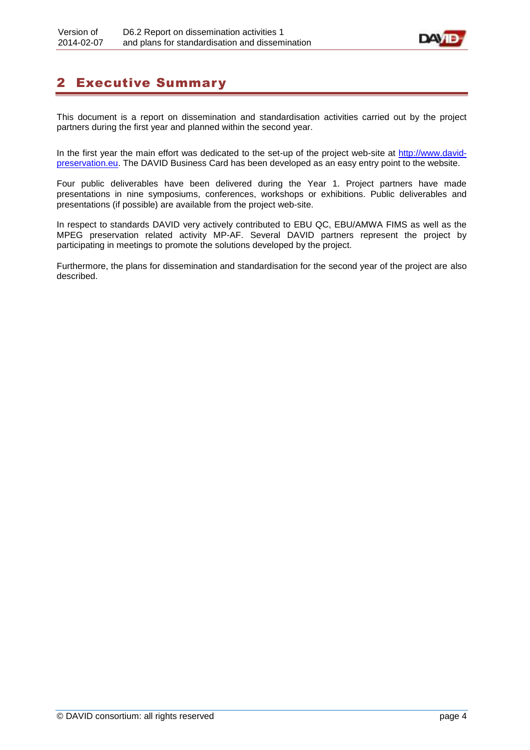

# <span id="page-3-0"></span>2 Executive Summary

This document is a report on dissemination and standardisation activities carried out by the project partners during the first year and planned within the second year.

In the first year the main effort was dedicated to the set-up of the project web-site at [http://www.david](http://www.david-preservation.eu/)[preservation.eu.](http://www.david-preservation.eu/) The DAVID Business Card has been developed as an easy entry point to the website.

Four public deliverables have been delivered during the Year 1. Project partners have made presentations in nine symposiums, conferences, workshops or exhibitions. Public deliverables and presentations (if possible) are available from the project web-site.

In respect to standards DAVID very actively contributed to EBU QC, EBU/AMWA FIMS as well as the MPEG preservation related activity MP-AF. Several DAVID partners represent the project by participating in meetings to promote the solutions developed by the project.

Furthermore, the plans for dissemination and standardisation for the second year of the project are also described.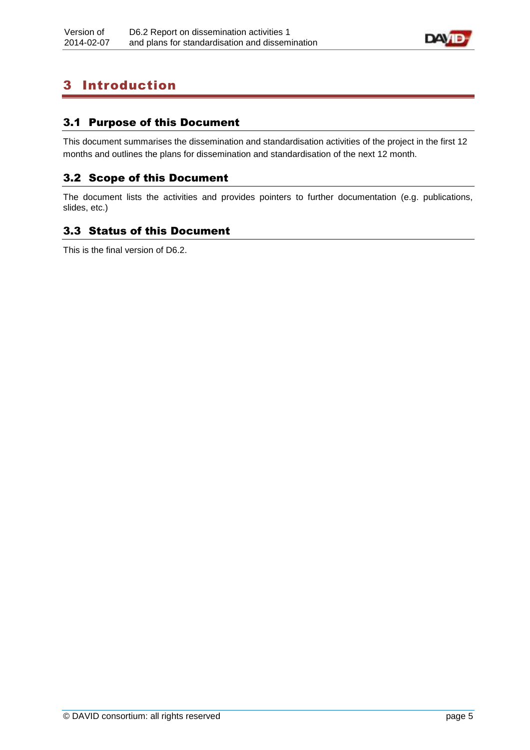

# <span id="page-4-0"></span>3 Introduction

# <span id="page-4-1"></span>3.1 Purpose of this Document

This document summarises the dissemination and standardisation activities of the project in the first 12 months and outlines the plans for dissemination and standardisation of the next 12 month.

### <span id="page-4-2"></span>3.2 Scope of this Document

The document lists the activities and provides pointers to further documentation (e.g. publications, slides, etc.)

# <span id="page-4-3"></span>3.3 Status of this Document

This is the final version of D6.2.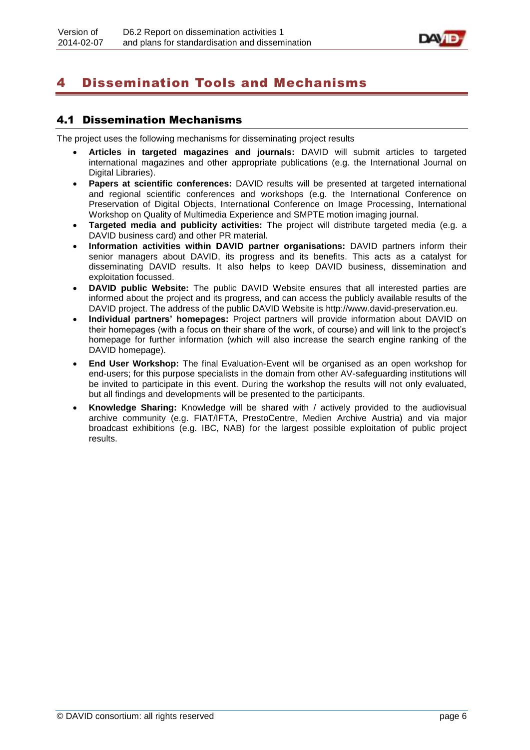

# <span id="page-5-0"></span>4 Dissemination Tools and Mechanisms

### <span id="page-5-1"></span>4.1 Dissemination Mechanisms

The project uses the following mechanisms for disseminating project results

- **Articles in targeted magazines and journals:** DAVID will submit articles to targeted international magazines and other appropriate publications (e.g. the International Journal on Digital Libraries).
- **Papers at scientific conferences:** DAVID results will be presented at targeted international and regional scientific conferences and workshops (e.g. the International Conference on Preservation of Digital Objects, International Conference on Image Processing, International Workshop on Quality of Multimedia Experience and SMPTE motion imaging journal.
- **Targeted media and publicity activities:** The project will distribute targeted media (e.g. a DAVID business card) and other PR material.
- **Information activities within DAVID partner organisations:** DAVID partners inform their senior managers about DAVID, its progress and its benefits. This acts as a catalyst for disseminating DAVID results. It also helps to keep DAVID business, dissemination and exploitation focussed.
- **DAVID public Website:** The public DAVID Website ensures that all interested parties are informed about the project and its progress, and can access the publicly available results of the DAVID project. The address of the public DAVID Website is http://www.david-preservation.eu.
- **Individual partners' homepages:** Project partners will provide information about DAVID on their homepages (with a focus on their share of the work, of course) and will link to the project's homepage for further information (which will also increase the search engine ranking of the DAVID homepage).
- **End User Workshop:** The final Evaluation-Event will be organised as an open workshop for end-users; for this purpose specialists in the domain from other AV-safeguarding institutions will be invited to participate in this event. During the workshop the results will not only evaluated, but all findings and developments will be presented to the participants.
- **Knowledge Sharing:** Knowledge will be shared with / actively provided to the audiovisual archive community (e.g. FIAT/IFTA, PrestoCentre, Medien Archive Austria) and via major broadcast exhibitions (e.g. IBC, NAB) for the largest possible exploitation of public project results.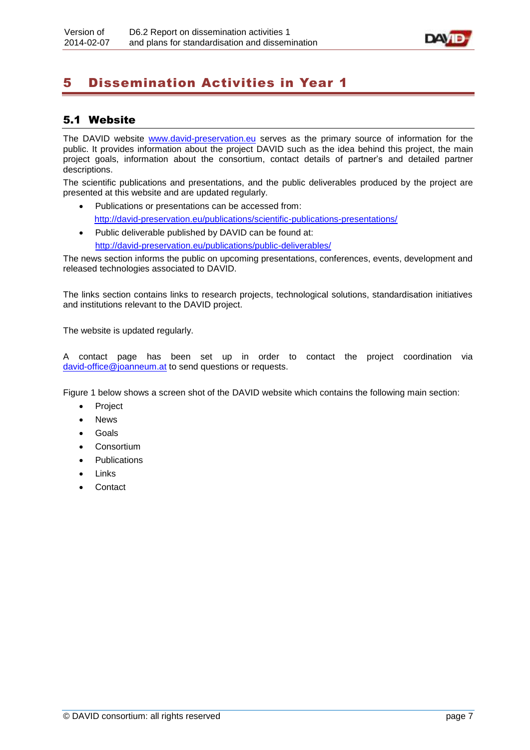

# <span id="page-6-0"></span>5 Dissemination Activities in Year 1

# <span id="page-6-1"></span>5.1 Website

The DAVID website [www.david-preservation.eu](http://www.david-preservation.eu/) serves as the primary source of information for the public. It provides information about the project DAVID such as the idea behind this project, the main project goals, information about the consortium, contact details of partner's and detailed partner descriptions.

The scientific publications and presentations, and the public deliverables produced by the project are presented at this website and are updated regularly.

- Publications or presentations can be accessed from: <http://david-preservation.eu/publications/scientific-publications-presentations/>
- Public deliverable published by DAVID can be found at: <http://david-preservation.eu/publications/public-deliverables/>

The news section informs the public on upcoming presentations, conferences, events, development and released technologies associated to DAVID.

The links section contains links to research projects, technological solutions, standardisation initiatives and institutions relevant to the DAVID project.

The website is updated regularly.

A contact page has been set up in order to contact the project coordination via [david-office@joanneum.at](mailto:david-office@joanneum.at) to send questions or requests.

Figure 1 below shows a screen shot of the DAVID website which contains the following main section:

- Project
- News
- Goals
- **•** Consortium
- Publications
- Links
- **Contact**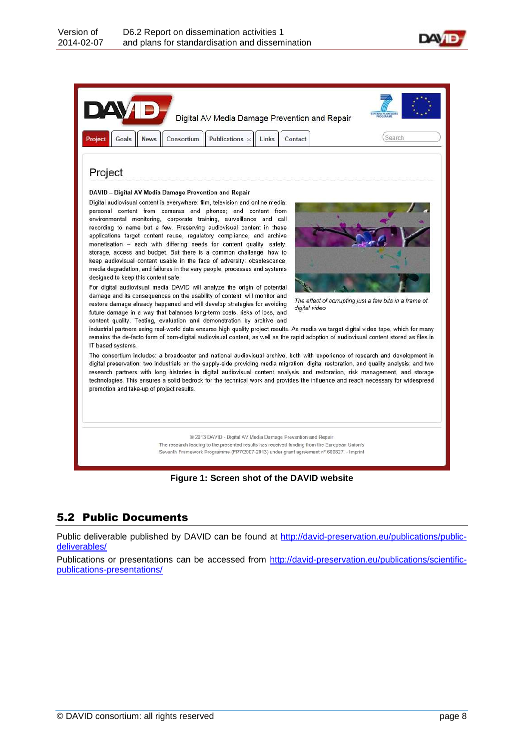



### **Figure 1: Screen shot of the DAVID website**

### <span id="page-7-0"></span>5.2 Public Documents

Public deliverable published by DAVID can be found at [http://david-preservation.eu/publications/public](http://david-preservation.eu/publications/public-deliverables/)[deliverables/](http://david-preservation.eu/publications/public-deliverables/)

Publications or presentations can be accessed from [http://david-preservation.eu/publications/scientific](http://david-preservation.eu/publications/scientific-publications-presentations/)[publications-presentations/](http://david-preservation.eu/publications/scientific-publications-presentations/)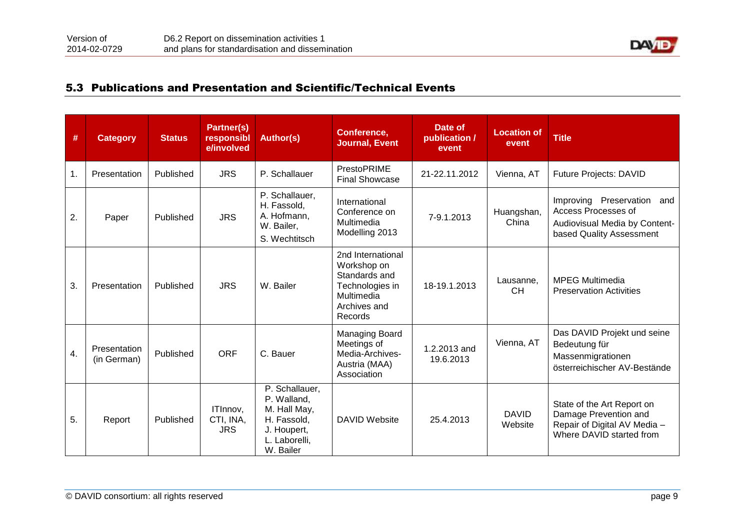

### 5.3 Publications and Presentation and Scientific/Technical Events

<span id="page-8-0"></span>

| #  | <b>Category</b>             | <b>Status</b> | Partner(s)<br>responsibl<br>e/involved | <b>Author(s)</b>                                                                                          | Conference,<br><b>Journal, Event</b>                                                                          | Date of<br>publication /<br>event | <b>Location of</b><br>event | <b>Title</b>                                                                                                         |
|----|-----------------------------|---------------|----------------------------------------|-----------------------------------------------------------------------------------------------------------|---------------------------------------------------------------------------------------------------------------|-----------------------------------|-----------------------------|----------------------------------------------------------------------------------------------------------------------|
| 1. | Presentation                | Published     | <b>JRS</b>                             | P. Schallauer                                                                                             | PrestoPRIME<br><b>Final Showcase</b>                                                                          | 21-22.11.2012                     | Vienna, AT                  | Future Projects: DAVID                                                                                               |
| 2. | Paper                       | Published     | <b>JRS</b>                             | P. Schallauer,<br>H. Fassold,<br>A. Hofmann,<br>W. Bailer,<br>S. Wechtitsch                               | International<br>Conference on<br>Multimedia<br>Modelling 2013                                                | 7-9.1.2013                        | Huangshan,<br>China         | Preservation<br>Improving<br>and<br>Access Processes of<br>Audiovisual Media by Content-<br>based Quality Assessment |
| 3. | Presentation                | Published     | <b>JRS</b>                             | W. Bailer                                                                                                 | 2nd International<br>Workshop on<br>Standards and<br>Technologies in<br>Multimedia<br>Archives and<br>Records | 18-19.1.2013                      | Lausanne,<br><b>CH</b>      | <b>MPEG Multimedia</b><br><b>Preservation Activities</b>                                                             |
| 4. | Presentation<br>(in German) | Published     | <b>ORF</b>                             | C. Bauer                                                                                                  | Managing Board<br>Meetings of<br>Media-Archives-<br>Austria (MAA)<br>Association                              | 1.2.2013 and<br>19.6.2013         | Vienna, AT                  | Das DAVID Projekt und seine<br>Bedeutung für<br>Massenmigrationen<br>österreichischer AV-Bestände                    |
| 5. | Report                      | Published     | ITInnov,<br>CTI, INA,<br><b>JRS</b>    | P. Schallauer,<br>P. Walland,<br>M. Hall May,<br>H. Fassold,<br>J. Houpert,<br>L. Laborelli,<br>W. Bailer | <b>DAVID Website</b>                                                                                          | 25.4.2013                         | <b>DAVID</b><br>Website     | State of the Art Report on<br>Damage Prevention and<br>Repair of Digital AV Media -<br>Where DAVID started from      |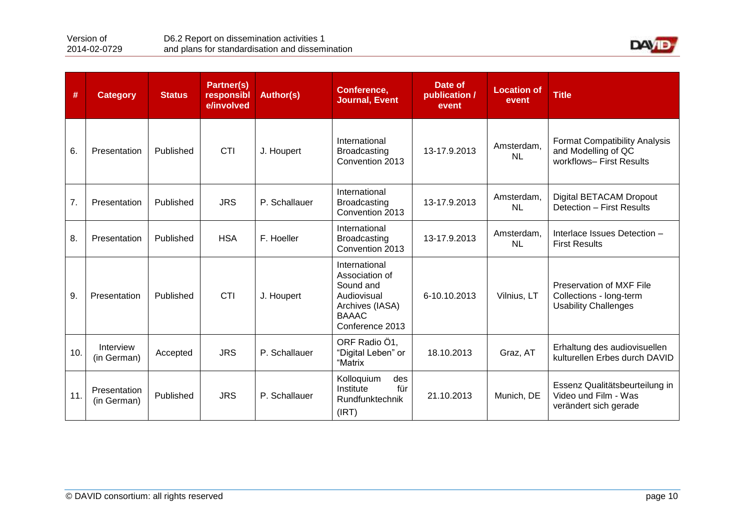

| #   | <b>Category</b>             | <b>Status</b> | Partner(s)<br>responsibl<br>e/involved | <b>Author(s)</b> | Conference,<br><b>Journal, Event</b>                                                                              | Date of<br>publication /<br>event | <b>Location of</b><br>event | <b>Title</b>                                                                            |
|-----|-----------------------------|---------------|----------------------------------------|------------------|-------------------------------------------------------------------------------------------------------------------|-----------------------------------|-----------------------------|-----------------------------------------------------------------------------------------|
| 6.  | Presentation                | Published     | <b>CTI</b>                             | J. Houpert       | International<br><b>Broadcasting</b><br>Convention 2013                                                           | 13-17.9.2013                      | Amsterdam,<br><b>NL</b>     | <b>Format Compatibility Analysis</b><br>and Modelling of QC<br>workflows- First Results |
| 7.  | Presentation                | Published     | <b>JRS</b>                             | P. Schallauer    | International<br><b>Broadcasting</b><br>Convention 2013                                                           | 13-17.9.2013                      | Amsterdam.<br><b>NL</b>     | Digital BETACAM Dropout<br>Detection - First Results                                    |
| 8.  | Presentation                | Published     | <b>HSA</b>                             | F. Hoeller       | International<br><b>Broadcasting</b><br>Convention 2013                                                           | 13-17.9.2013                      | Amsterdam,<br><b>NL</b>     | Interlace Issues Detection -<br><b>First Results</b>                                    |
| 9.  | Presentation                | Published     | <b>CTI</b>                             | J. Houpert       | International<br>Association of<br>Sound and<br>Audiovisual<br>Archives (IASA)<br><b>BAAAC</b><br>Conference 2013 | 6-10.10.2013                      | Vilnius, LT                 | Preservation of MXF File<br>Collections - long-term<br><b>Usability Challenges</b>      |
| 10. | Interview<br>(in German)    | Accepted      | <b>JRS</b>                             | P. Schallauer    | ORF Radio Ö1,<br>"Digital Leben" or<br>"Matrix                                                                    | 18.10.2013                        | Graz, AT                    | Erhaltung des audiovisuellen<br>kulturellen Erbes durch DAVID                           |
| 11. | Presentation<br>(in German) | Published     | <b>JRS</b>                             | P. Schallauer    | Kolloquium<br>des<br>für<br>Institute<br>Rundfunktechnik<br>(IRT)                                                 | 21.10.2013                        | Munich, DE                  | Essenz Qualitätsbeurteilung in<br>Video und Film - Was<br>verändert sich gerade         |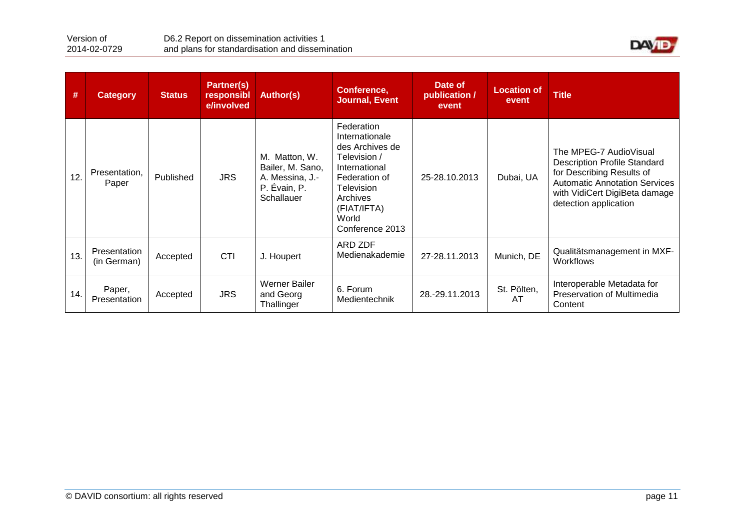

| #   | <b>Category</b>             | <b>Status</b> | Partner(s)<br>responsibl<br>e/involved | <b>Author(s)</b>                                                                   | Conference,<br><b>Journal, Event</b>                                                                                                                                   | Date of<br>publication /<br>event | <b>Location of</b><br>event | <b>Title</b>                                                                                                                                                                                 |
|-----|-----------------------------|---------------|----------------------------------------|------------------------------------------------------------------------------------|------------------------------------------------------------------------------------------------------------------------------------------------------------------------|-----------------------------------|-----------------------------|----------------------------------------------------------------------------------------------------------------------------------------------------------------------------------------------|
| 12. | Presentation,<br>Paper      | Published     | <b>JRS</b>                             | M. Matton, W.<br>Bailer, M. Sano,<br>A. Messina, J.-<br>P. Évain, P.<br>Schallauer | Federation<br>Internationale<br>des Archives de<br>Television /<br>International<br>Federation of<br>Television<br>Archives<br>(FIAT/IFTA)<br>World<br>Conference 2013 | 25-28.10.2013                     | Dubai, UA                   | The MPEG-7 AudioVisual<br><b>Description Profile Standard</b><br>for Describing Results of<br><b>Automatic Annotation Services</b><br>with VidiCert DigiBeta damage<br>detection application |
| 13. | Presentation<br>(in German) | Accepted      | CTI                                    | J. Houpert                                                                         | ARD ZDF<br>Medienakademie                                                                                                                                              | 27-28.11.2013                     | Munich, DE                  | Qualitätsmanagement in MXF-<br><b>Workflows</b>                                                                                                                                              |
| 14. | Paper,<br>Presentation      | Accepted      | <b>JRS</b>                             | <b>Werner Bailer</b><br>and Georg<br>Thallinger                                    | 6. Forum<br>Medientechnik                                                                                                                                              | 28.-29.11.2013                    | St. Pölten,<br>AT           | Interoperable Metadata for<br>Preservation of Multimedia<br>Content                                                                                                                          |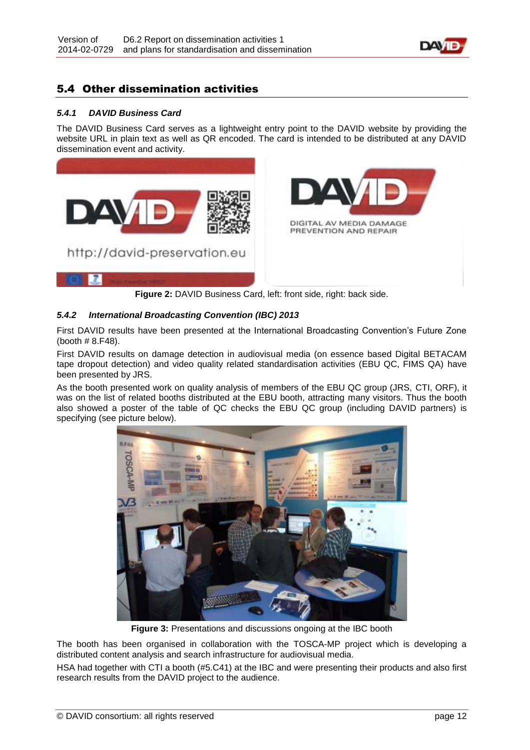

### <span id="page-11-0"></span>5.4 Other dissemination activities

#### <span id="page-11-1"></span>*5.4.1 DAVID Business Card*

The DAVID Business Card serves as a lightweight entry point to the DAVID website by providing the website URL in plain text as well as QR encoded. The card is intended to be distributed at any DAVID dissemination event and activity.



**Figure 2:** DAVID Business Card, left: front side, right: back side.

#### <span id="page-11-2"></span>*5.4.2 International Broadcasting Convention (IBC) 2013*

First DAVID results have been presented at the International Broadcasting Convention's Future Zone (booth # 8.F48).

First DAVID results on damage detection in audiovisual media (on essence based Digital BETACAM tape dropout detection) and video quality related standardisation activities (EBU QC, FIMS QA) have been presented by JRS.

As the booth presented work on quality analysis of members of the EBU QC group (JRS, CTI, ORF), it was on the list of related booths distributed at the EBU booth, attracting many visitors. Thus the booth also showed a poster of the table of QC checks the EBU QC group (including DAVID partners) is specifying (see picture below).



**Figure 3:** Presentations and discussions ongoing at the IBC booth

The booth has been organised in collaboration with the TOSCA-MP project which is developing a distributed content analysis and search infrastructure for audiovisual media.

HSA had together with CTI a booth (#5.C41) at the IBC and were presenting their products and also first research results from the DAVID project to the audience.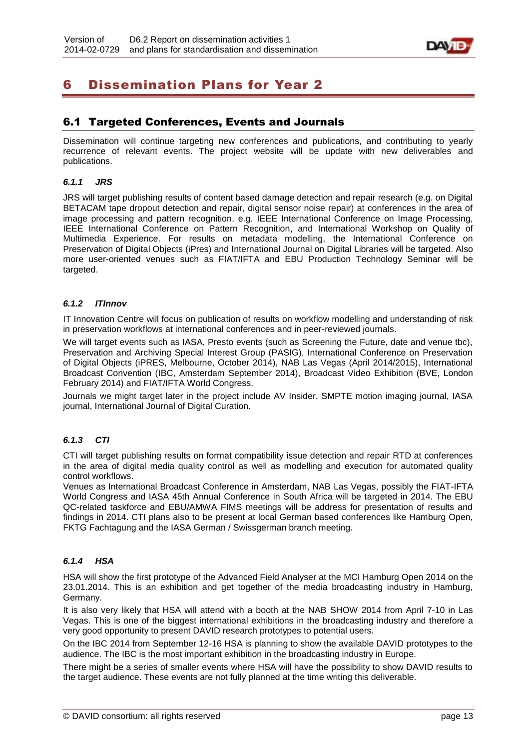

# <span id="page-12-0"></span>6 Dissemination Plans for Year 2

### <span id="page-12-1"></span>6.1 Targeted Conferences, Events and Journals

Dissemination will continue targeting new conferences and publications, and contributing to yearly recurrence of relevant events. The project website will be update with new deliverables and publications.

#### <span id="page-12-2"></span>*6.1.1 JRS*

JRS will target publishing results of content based damage detection and repair research (e.g. on Digital BETACAM tape dropout detection and repair, digital sensor noise repair) at conferences in the area of image processing and pattern recognition, e.g. IEEE International Conference on Image Processing, IEEE International Conference on Pattern Recognition, and International Workshop on Quality of Multimedia Experience. For results on metadata modelling, the International Conference on Preservation of Digital Objects (iPres) and International Journal on Digital Libraries will be targeted. Also more user-oriented venues such as FIAT/IFTA and EBU Production Technology Seminar will be targeted.

#### <span id="page-12-3"></span>*6.1.2 ITInnov*

IT Innovation Centre will focus on publication of results on workflow modelling and understanding of risk in preservation workflows at international conferences and in peer-reviewed journals.

We will target events such as IASA, Presto events (such as Screening the Future, date and venue tbc), Preservation and Archiving Special Interest Group (PASIG), International Conference on Preservation of Digital Objects (iPRES, Melbourne, October 2014), NAB Las Vegas (April 2014/2015), International Broadcast Convention (IBC, Amsterdam September 2014), Broadcast Video Exhibition (BVE, London February 2014) and FIAT/IFTA World Congress.

Journals we might target later in the project include AV Insider, SMPTE motion imaging journal, IASA journal, International Journal of Digital Curation.

#### <span id="page-12-4"></span>*6.1.3 CTI*

CTI will target publishing results on format compatibility issue detection and repair RTD at conferences in the area of digital media quality control as well as modelling and execution for automated quality control workflows.

Venues as International Broadcast Conference in Amsterdam, NAB Las Vegas, possibly the FIAT-IFTA World Congress and IASA 45th Annual Conference in South Africa will be targeted in 2014. The EBU QC-related taskforce and EBU/AMWA FIMS meetings will be address for presentation of results and findings in 2014. CTI plans also to be present at local German based conferences like Hamburg Open, FKTG Fachtagung and the IASA German / Swissgerman branch meeting.

#### <span id="page-12-5"></span>*6.1.4 HSA*

HSA will show the first prototype of the Advanced Field Analyser at the MCI Hamburg Open 2014 on the 23.01.2014. This is an exhibition and get together of the media broadcasting industry in Hamburg, Germany.

It is also very likely that HSA will attend with a booth at the NAB SHOW 2014 from April 7-10 in Las Vegas. This is one of the biggest international exhibitions in the broadcasting industry and therefore a very good opportunity to present DAVID research prototypes to potential users.

On the IBC 2014 from September 12-16 HSA is planning to show the available DAVID prototypes to the audience. The IBC is the most important exhibition in the broadcasting industry in Europe.

There might be a series of smaller events where HSA will have the possibility to show DAVID results to the target audience. These events are not fully planned at the time writing this deliverable.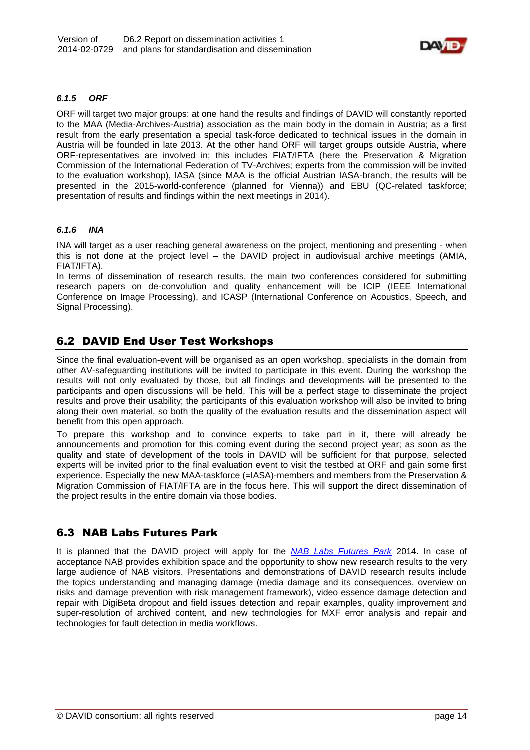

#### <span id="page-13-0"></span>*6.1.5 ORF*

ORF will target two major groups: at one hand the results and findings of DAVID will constantly reported to the MAA (Media-Archives-Austria) association as the main body in the domain in Austria; as a first result from the early presentation a special task-force dedicated to technical issues in the domain in Austria will be founded in late 2013. At the other hand ORF will target groups outside Austria, where ORF-representatives are involved in; this includes FIAT/IFTA (here the Preservation & Migration Commission of the International Federation of TV-Archives; experts from the commission will be invited to the evaluation workshop), IASA (since MAA is the official Austrian IASA-branch, the results will be presented in the 2015-world-conference (planned for Vienna)) and EBU (QC-related taskforce; presentation of results and findings within the next meetings in 2014).

#### <span id="page-13-1"></span>*6.1.6 INA*

INA will target as a user reaching general awareness on the project, mentioning and presenting - when this is not done at the project level – the DAVID project in audiovisual archive meetings (AMIA, FIAT/IFTA).

In terms of dissemination of research results, the main two conferences considered for submitting research papers on de-convolution and quality enhancement will be ICIP (IEEE International Conference on Image Processing), and ICASP (International Conference on Acoustics, Speech, and Signal Processing).

### <span id="page-13-2"></span>6.2 DAVID End User Test Workshops

Since the final evaluation-event will be organised as an open workshop, specialists in the domain from other AV-safeguarding institutions will be invited to participate in this event. During the workshop the results will not only evaluated by those, but all findings and developments will be presented to the participants and open discussions will be held. This will be a perfect stage to disseminate the project results and prove their usability; the participants of this evaluation workshop will also be invited to bring along their own material, so both the quality of the evaluation results and the dissemination aspect will benefit from this open approach.

To prepare this workshop and to convince experts to take part in it, there will already be announcements and promotion for this coming event during the second project year; as soon as the quality and state of development of the tools in DAVID will be sufficient for that purpose, selected experts will be invited prior to the final evaluation event to visit the testbed at ORF and gain some first experience. Especially the new MAA-taskforce (=IASA)-members and members from the Preservation & Migration Commission of FIAT/IFTA are in the focus here. This will support the direct dissemination of the project results in the entire domain via those bodies.

# <span id="page-13-3"></span>6.3 NAB Labs Futures Park

It is planned that the DAVID project will apply for the *[NAB Labs Futures Park](http://www.nabshow.com/2014/exhibits/pavilions/)* 2014. In case of acceptance NAB provides exhibition space and the opportunity to show new research results to the very large audience of NAB visitors. Presentations and demonstrations of DAVID research results include the topics understanding and managing damage (media damage and its consequences, overview on risks and damage prevention with risk management framework), video essence damage detection and repair with DigiBeta dropout and field issues detection and repair examples, quality improvement and super-resolution of archived content, and new technologies for MXF error analysis and repair and technologies for fault detection in media workflows.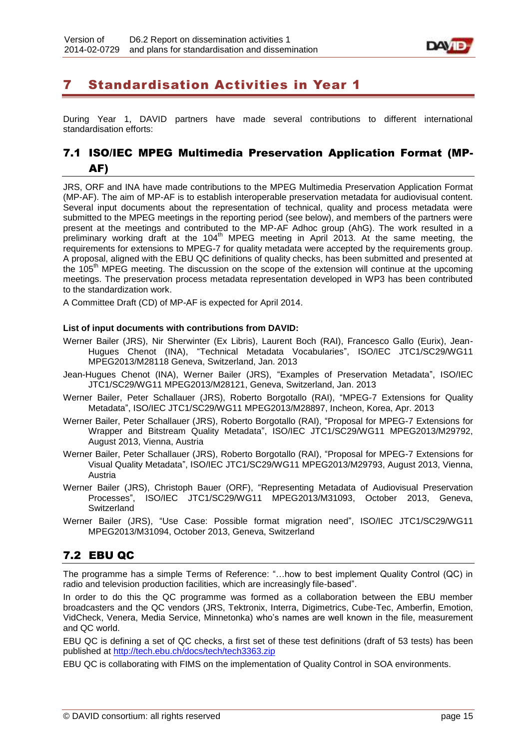

# <span id="page-14-0"></span>7 Standardisation Activities in Year 1

During Year 1, DAVID partners have made several contributions to different international standardisation efforts:

# <span id="page-14-1"></span>7.1 ISO/IEC MPEG Multimedia Preservation Application Format (MP-AF)

JRS, ORF and INA have made contributions to the MPEG Multimedia Preservation Application Format (MP-AF). The aim of MP-AF is to establish interoperable preservation metadata for audiovisual content. Several input documents about the representation of technical, quality and process metadata were submitted to the MPEG meetings in the reporting period (see below), and members of the partners were present at the meetings and contributed to the MP-AF Adhoc group (AhG). The work resulted in a preliminary working draft at the  $104<sup>th</sup>$  MPEG meeting in April 2013. At the same meeting, the requirements for extensions to MPEG-7 for quality metadata were accepted by the requirements group. A proposal, aligned with the EBU QC definitions of quality checks, has been submitted and presented at the 105<sup>th</sup> MPEG meeting. The discussion on the scope of the extension will continue at the upcoming meetings. The preservation process metadata representation developed in WP3 has been contributed to the standardization work.

A Committee Draft (CD) of MP-AF is expected for April 2014.

#### **List of input documents with contributions from DAVID:**

- Werner Bailer (JRS), Nir Sherwinter (Ex Libris), Laurent Boch (RAI), Francesco Gallo (Eurix), Jean-Hugues Chenot (INA), "Technical Metadata Vocabularies", ISO/IEC JTC1/SC29/WG11 MPEG2013/M28118 Geneva, Switzerland, Jan. 2013
- Jean-Hugues Chenot (INA), Werner Bailer (JRS), "Examples of Preservation Metadata", ISO/IEC JTC1/SC29/WG11 MPEG2013/M28121, Geneva, Switzerland, Jan. 2013
- Werner Bailer, Peter Schallauer (JRS), Roberto Borgotallo (RAI), "MPEG-7 Extensions for Quality Metadata", ISO/IEC JTC1/SC29/WG11 MPEG2013/M28897, Incheon, Korea, Apr. 2013
- Werner Bailer, Peter Schallauer (JRS), Roberto Borgotallo (RAI), "Proposal for MPEG-7 Extensions for Wrapper and Bitstream Quality Metadata", ISO/IEC JTC1/SC29/WG11 MPEG2013/M29792, August 2013, Vienna, Austria
- Werner Bailer, Peter Schallauer (JRS), Roberto Borgotallo (RAI), "Proposal for MPEG-7 Extensions for Visual Quality Metadata", ISO/IEC JTC1/SC29/WG11 MPEG2013/M29793, August 2013, Vienna, Austria
- Werner Bailer (JRS), Christoph Bauer (ORF), "Representing Metadata of Audiovisual Preservation Processes", ISO/IEC JTC1/SC29/WG11 MPEG2013/M31093, October 2013, Geneva, **Switzerland**
- Werner Bailer (JRS), "Use Case: Possible format migration need", ISO/IEC JTC1/SC29/WG11 MPEG2013/M31094, October 2013, Geneva, Switzerland

# <span id="page-14-2"></span>7.2 EBU QC

The programme has a simple Terms of Reference: "…how to best implement Quality Control (QC) in radio and television production facilities, which are increasingly file-based".

In order to do this the QC programme was formed as a collaboration between the EBU member broadcasters and the QC vendors (JRS, Tektronix, Interra, Digimetrics, Cube-Tec, Amberfin, Emotion, VidCheck, Venera, Media Service, Minnetonka) who's names are well known in the file, measurement and QC world.

EBU QC is defining a set of QC checks, a first set of these test definitions (draft of 53 tests) has been published at<http://tech.ebu.ch/docs/tech/tech3363.zip>

EBU QC is collaborating with FIMS on the implementation of Quality Control in SOA environments.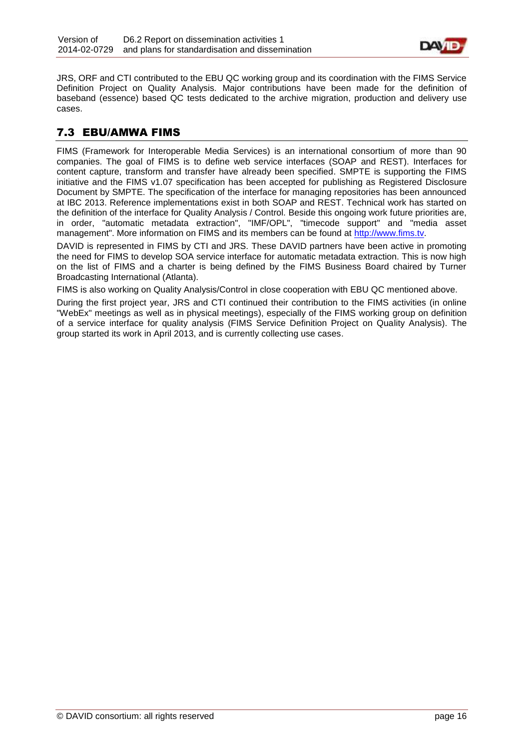

JRS, ORF and CTI contributed to the EBU QC working group and its coordination with the FIMS Service Definition Project on Quality Analysis. Major contributions have been made for the definition of baseband (essence) based QC tests dedicated to the archive migration, production and delivery use cases.

### <span id="page-15-0"></span>7.3 EBU/AMWA FIMS

FIMS (Framework for Interoperable Media Services) is an international consortium of more than 90 companies. The goal of FIMS is to define web service interfaces (SOAP and REST). Interfaces for content capture, transform and transfer have already been specified. SMPTE is supporting the FIMS initiative and the FIMS v1.07 specification has been accepted for publishing as Registered Disclosure Document by SMPTE. The specification of the interface for managing repositories has been announced at IBC 2013. Reference implementations exist in both SOAP and REST. Technical work has started on the definition of the interface for Quality Analysis / Control. Beside this ongoing work future priorities are, in order, "automatic metadata extraction", "IMF/OPL", "timecode support" and "media asset management". More information on FIMS and its members can be found at [http://www.fims.tv.](http://www.fims.tv/)

DAVID is represented in FIMS by CTI and JRS. These DAVID partners have been active in promoting the need for FIMS to develop SOA service interface for automatic metadata extraction. This is now high on the list of FIMS and a charter is being defined by the FIMS Business Board chaired by Turner Broadcasting International (Atlanta).

FIMS is also working on Quality Analysis/Control in close cooperation with EBU QC mentioned above.

During the first project year, JRS and CTI continued their contribution to the FIMS activities (in online "WebEx" meetings as well as in physical meetings), especially of the FIMS working group on definition of a service interface for quality analysis (FIMS Service Definition Project on Quality Analysis). The group started its work in April 2013, and is currently collecting use cases.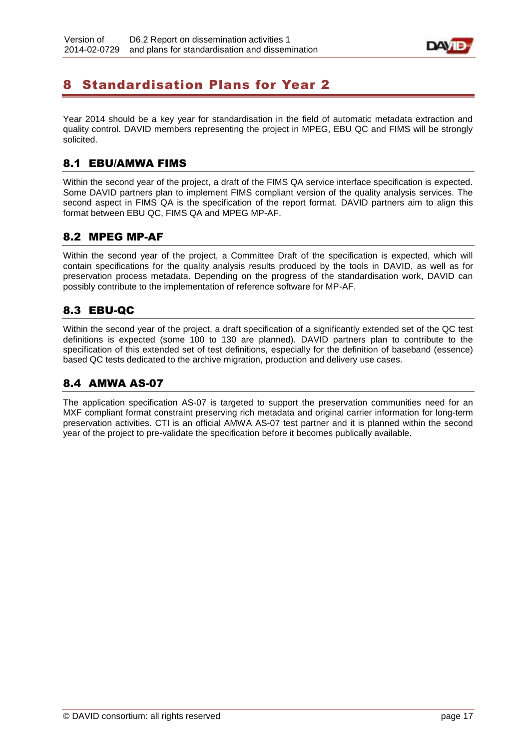

# <span id="page-16-0"></span>8 Standardisation Plans for Year 2

Year 2014 should be a key year for standardisation in the field of automatic metadata extraction and quality control. DAVID members representing the project in MPEG, EBU QC and FIMS will be strongly solicited.

### <span id="page-16-1"></span>8.1 EBU/AMWA FIMS

Within the second year of the project, a draft of the FIMS QA service interface specification is expected. Some DAVID partners plan to implement FIMS compliant version of the quality analysis services. The second aspect in FIMS QA is the specification of the report format. DAVID partners aim to align this format between EBU QC, FIMS QA and MPEG MP-AF.

### <span id="page-16-2"></span>8.2 MPEG MP-AF

Within the second year of the project, a Committee Draft of the specification is expected, which will contain specifications for the quality analysis results produced by the tools in DAVID, as well as for preservation process metadata. Depending on the progress of the standardisation work, DAVID can possibly contribute to the implementation of reference software for MP-AF.

# <span id="page-16-3"></span>8.3 EBU-QC

Within the second year of the project, a draft specification of a significantly extended set of the QC test definitions is expected (some 100 to 130 are planned). DAVID partners plan to contribute to the specification of this extended set of test definitions, especially for the definition of baseband (essence) based QC tests dedicated to the archive migration, production and delivery use cases.

# <span id="page-16-4"></span>8.4 AMWA AS-07

The application specification AS-07 is targeted to support the preservation communities need for an MXF compliant format constraint preserving rich metadata and original carrier information for long-term preservation activities. CTI is an official AMWA AS-07 test partner and it is planned within the second year of the project to pre-validate the specification before it becomes publically available.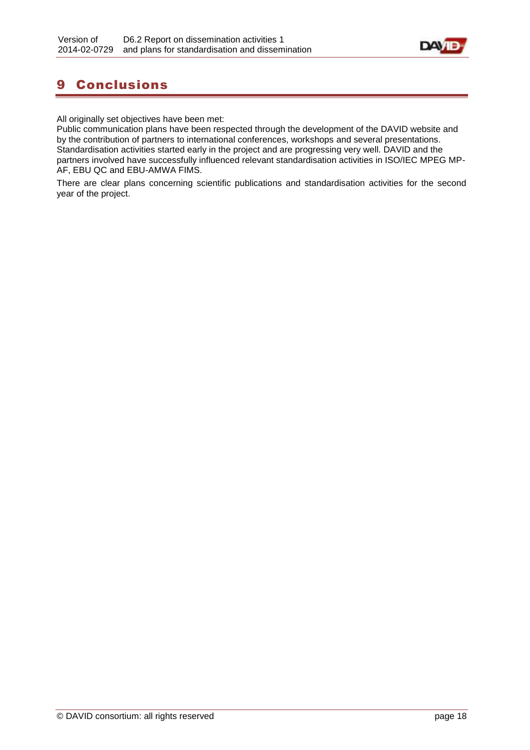

# <span id="page-17-0"></span>9 Conclusions

All originally set objectives have been met:

Public communication plans have been respected through the development of the DAVID website and by the contribution of partners to international conferences, workshops and several presentations. Standardisation activities started early in the project and are progressing very well. DAVID and the partners involved have successfully influenced relevant standardisation activities in ISO/IEC MPEG MP-AF, EBU QC and EBU-AMWA FIMS.

There are clear plans concerning scientific publications and standardisation activities for the second year of the project.